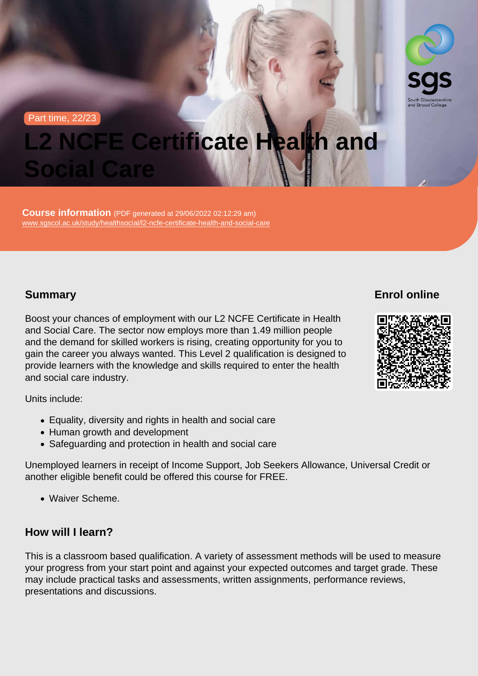Part time, 22/23

# L2 NCFE Certificate Health and Social Care

Course information (PDF generated at 29/06/2022 02:12:29 am) [www.sgscol.ac.uk/study/healthsocial/l2-ncfe-certificate-health-and-social-care](https://www.sgscol.ac.uk/study/healthsocial/l2-ncfe-certificate-health-and-social-care)

# **Summary**

Boost your chances of employment with our L2 NCFE Certificate in Health and Social Care. The sector now employs more than 1.49 million people and the demand for skilled workers is rising, creating opportunity for you to gain the career you always wanted. This Level 2 qualification is designed to provide learners with the knowledge and skills required to enter the health and social care industry.

Units include:

- Equality, diversity and rights in health and social care
- Human growth and development
- Safeguarding and protection in health and social care

Unemployed learners in receipt of Income Support, Job Seekers Allowance, Universal Credit or another eligible benefit could be offered this course for FREE.

Waiver Scheme.

### How will I learn?

This is a classroom based qualification. A variety of assessment methods will be used to measure your progress from your start point and against your expected outcomes and target grade. These may include practical tasks and assessments, written assignments, performance reviews, presentations and discussions.

Enrol online